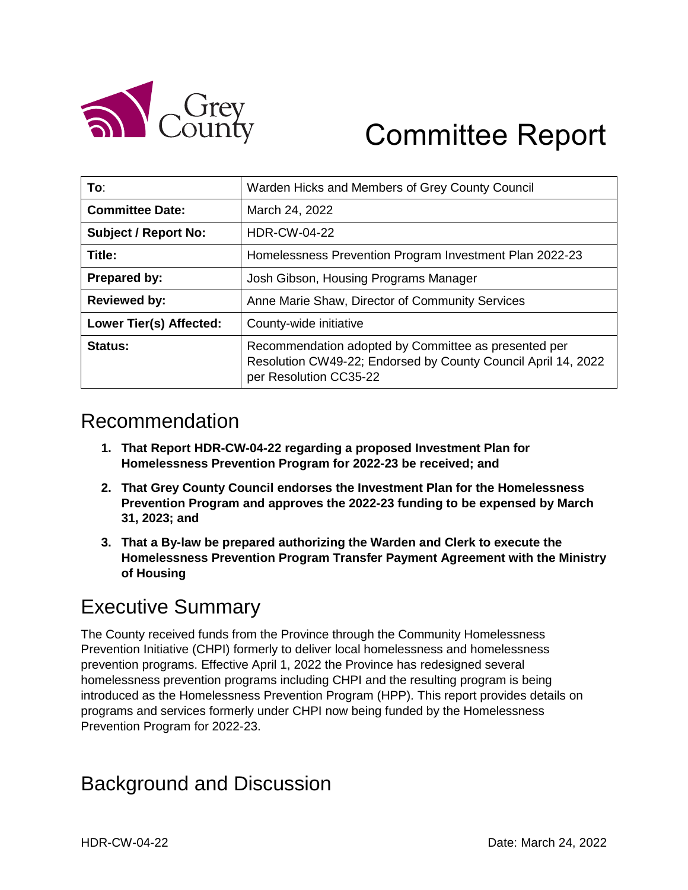

# Committee Report

| To:                            | Warden Hicks and Members of Grey County Council                                                                                                 |  |
|--------------------------------|-------------------------------------------------------------------------------------------------------------------------------------------------|--|
| <b>Committee Date:</b>         | March 24, 2022                                                                                                                                  |  |
| <b>Subject / Report No:</b>    | <b>HDR-CW-04-22</b>                                                                                                                             |  |
| Title:                         | Homelessness Prevention Program Investment Plan 2022-23                                                                                         |  |
| Prepared by:                   | Josh Gibson, Housing Programs Manager                                                                                                           |  |
| <b>Reviewed by:</b>            | Anne Marie Shaw, Director of Community Services                                                                                                 |  |
| <b>Lower Tier(s) Affected:</b> | County-wide initiative                                                                                                                          |  |
| Status:                        | Recommendation adopted by Committee as presented per<br>Resolution CW49-22; Endorsed by County Council April 14, 2022<br>per Resolution CC35-22 |  |

#### Recommendation

- **1. That Report HDR-CW-04-22 regarding a proposed Investment Plan for Homelessness Prevention Program for 2022-23 be received; and**
- **2. That Grey County Council endorses the Investment Plan for the Homelessness Prevention Program and approves the 2022-23 funding to be expensed by March 31, 2023; and**
- **3. That a By-law be prepared authorizing the Warden and Clerk to execute the Homelessness Prevention Program Transfer Payment Agreement with the Ministry of Housing**

# Executive Summary

The County received funds from the Province through the Community Homelessness Prevention Initiative (CHPI) formerly to deliver local homelessness and homelessness prevention programs. Effective April 1, 2022 the Province has redesigned several homelessness prevention programs including CHPI and the resulting program is being introduced as the Homelessness Prevention Program (HPP). This report provides details on programs and services formerly under CHPI now being funded by the Homelessness Prevention Program for 2022-23.

# Background and Discussion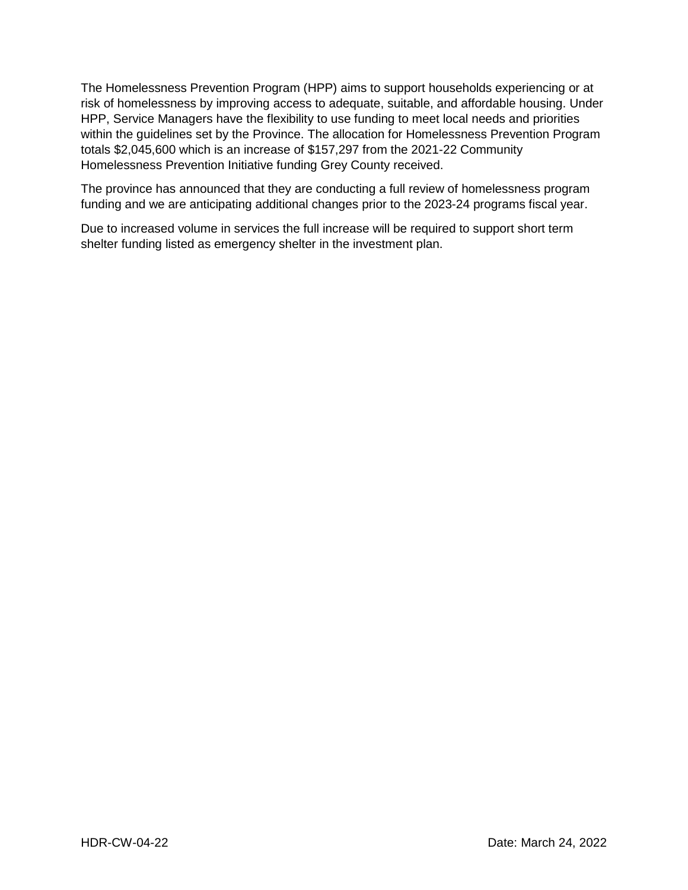The Homelessness Prevention Program (HPP) aims to support households experiencing or at risk of homelessness by improving access to adequate, suitable, and affordable housing. Under HPP, Service Managers have the flexibility to use funding to meet local needs and priorities within the guidelines set by the Province. The allocation for Homelessness Prevention Program totals \$2,045,600 which is an increase of \$157,297 from the 2021-22 Community Homelessness Prevention Initiative funding Grey County received.

The province has announced that they are conducting a full review of homelessness program funding and we are anticipating additional changes prior to the 2023-24 programs fiscal year.

Due to increased volume in services the full increase will be required to support short term shelter funding listed as emergency shelter in the investment plan.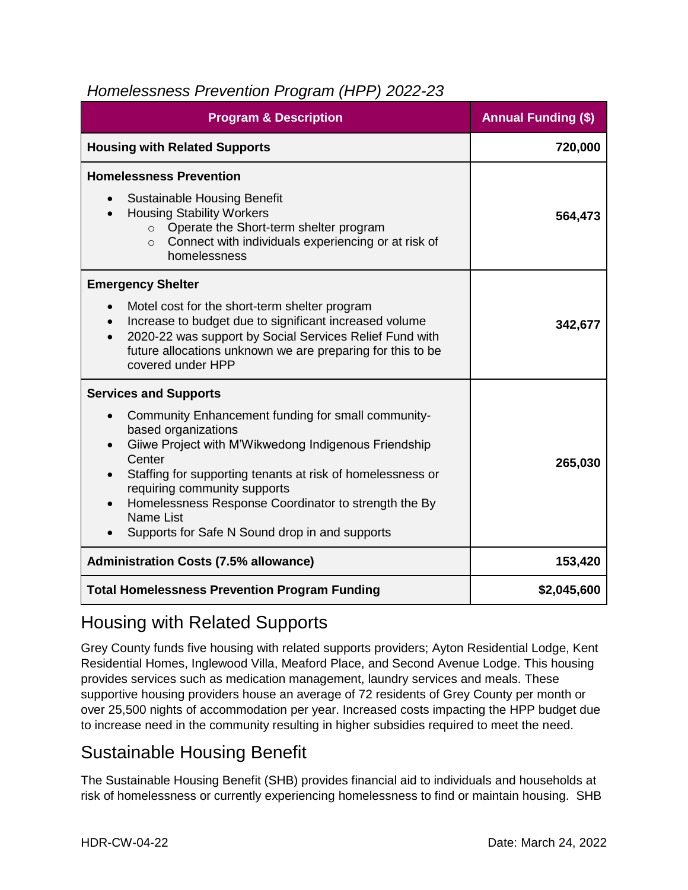#### *Homelessness Prevention Program (HPP) 2022-23*

| <b>Program &amp; Description</b>                                                                                                                                                                                                                                                                                                                                 | <b>Annual Funding (\$)</b> |
|------------------------------------------------------------------------------------------------------------------------------------------------------------------------------------------------------------------------------------------------------------------------------------------------------------------------------------------------------------------|----------------------------|
| <b>Housing with Related Supports</b>                                                                                                                                                                                                                                                                                                                             | 720,000                    |
| <b>Homelessness Prevention</b>                                                                                                                                                                                                                                                                                                                                   |                            |
| <b>Sustainable Housing Benefit</b><br>$\bullet$<br><b>Housing Stability Workers</b><br>Operate the Short-term shelter program<br>$\circ$<br>Connect with individuals experiencing or at risk of<br>$\circ$<br>homelessness                                                                                                                                       | 564,473                    |
| <b>Emergency Shelter</b>                                                                                                                                                                                                                                                                                                                                         |                            |
| Motel cost for the short-term shelter program<br>$\bullet$<br>Increase to budget due to significant increased volume<br>2020-22 was support by Social Services Relief Fund with<br>future allocations unknown we are preparing for this to be<br>covered under HPP                                                                                               | 342,677                    |
| <b>Services and Supports</b>                                                                                                                                                                                                                                                                                                                                     |                            |
| Community Enhancement funding for small community-<br>based organizations<br>Giiwe Project with M'Wikwedong Indigenous Friendship<br>Center<br>Staffing for supporting tenants at risk of homelessness or<br>requiring community supports<br>Homelessness Response Coordinator to strength the By<br>Name List<br>Supports for Safe N Sound drop in and supports | 265,030                    |
| <b>Administration Costs (7.5% allowance)</b>                                                                                                                                                                                                                                                                                                                     | 153,420                    |
| <b>Total Homelessness Prevention Program Funding</b>                                                                                                                                                                                                                                                                                                             | \$2,045,600                |

#### Housing with Related Supports

Grey County funds five housing with related supports providers; Ayton Residential Lodge, Kent Residential Homes, Inglewood Villa, Meaford Place, and Second Avenue Lodge. This housing provides services such as medication management, laundry services and meals. These supportive housing providers house an average of 72 residents of Grey County per month or over 25,500 nights of accommodation per year. Increased costs impacting the HPP budget due to increase need in the community resulting in higher subsidies required to meet the need.

#### Sustainable Housing Benefit

The Sustainable Housing Benefit (SHB) provides financial aid to individuals and households at risk of homelessness or currently experiencing homelessness to find or maintain housing. SHB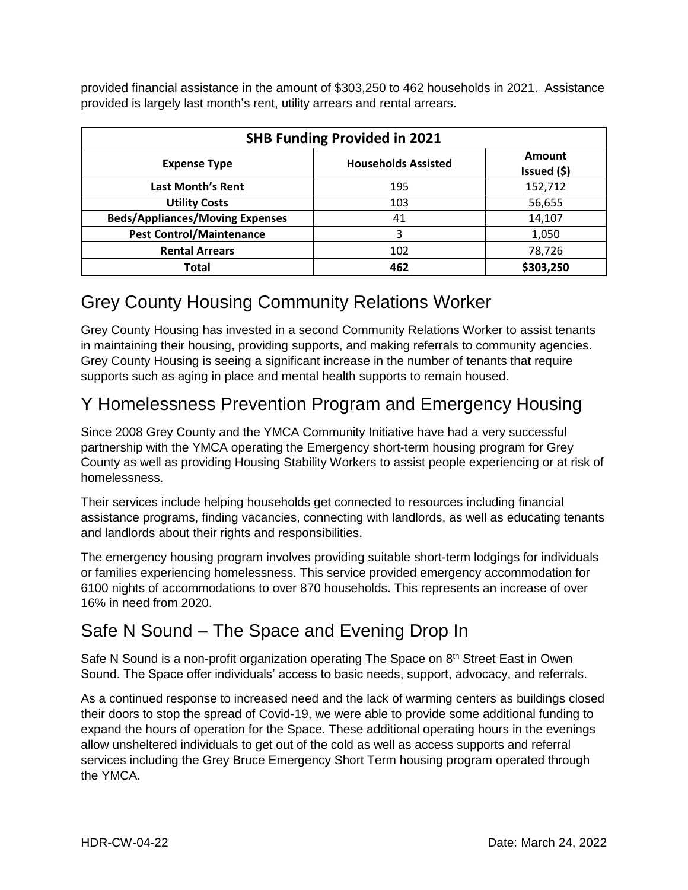provided financial assistance in the amount of \$303,250 to 462 households in 2021. Assistance provided is largely last month's rent, utility arrears and rental arrears.

| <b>SHB Funding Provided in 2021</b>    |                            |                       |  |
|----------------------------------------|----------------------------|-----------------------|--|
| <b>Expense Type</b>                    | <b>Households Assisted</b> | Amount<br>Issued (\$) |  |
| <b>Last Month's Rent</b>               | 195                        | 152,712               |  |
| <b>Utility Costs</b>                   | 103                        | 56,655                |  |
| <b>Beds/Appliances/Moving Expenses</b> | 41                         | 14,107                |  |
| <b>Pest Control/Maintenance</b>        | 3                          | 1,050                 |  |
| <b>Rental Arrears</b>                  | 102                        | 78,726                |  |
| Total                                  | 462                        | \$303,250             |  |

#### Grey County Housing Community Relations Worker

Grey County Housing has invested in a second Community Relations Worker to assist tenants in maintaining their housing, providing supports, and making referrals to community agencies. Grey County Housing is seeing a significant increase in the number of tenants that require supports such as aging in place and mental health supports to remain housed.

#### Y Homelessness Prevention Program and Emergency Housing

Since 2008 Grey County and the YMCA Community Initiative have had a very successful partnership with the YMCA operating the Emergency short-term housing program for Grey County as well as providing Housing Stability Workers to assist people experiencing or at risk of homelessness.

Their services include helping households get connected to resources including financial assistance programs, finding vacancies, connecting with landlords, as well as educating tenants and landlords about their rights and responsibilities.

The emergency housing program involves providing suitable short-term lodgings for individuals or families experiencing homelessness. This service provided emergency accommodation for 6100 nights of accommodations to over 870 households. This represents an increase of over 16% in need from 2020.

#### Safe N Sound – The Space and Evening Drop In

Safe N Sound is a non-profit organization operating The Space on 8<sup>th</sup> Street East in Owen Sound. The Space offer individuals' access to basic needs, support, advocacy, and referrals.

As a continued response to increased need and the lack of warming centers as buildings closed their doors to stop the spread of Covid-19, we were able to provide some additional funding to expand the hours of operation for the Space. These additional operating hours in the evenings allow unsheltered individuals to get out of the cold as well as access supports and referral services including the Grey Bruce Emergency Short Term housing program operated through the YMCA.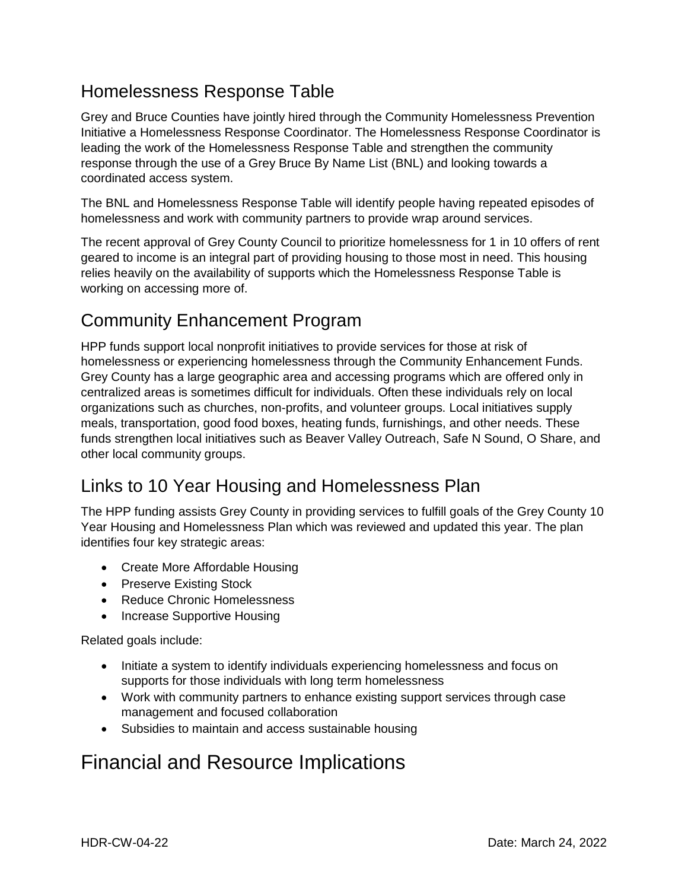#### Homelessness Response Table

Grey and Bruce Counties have jointly hired through the Community Homelessness Prevention Initiative a Homelessness Response Coordinator. The Homelessness Response Coordinator is leading the work of the Homelessness Response Table and strengthen the community response through the use of a Grey Bruce By Name List (BNL) and looking towards a coordinated access system.

The BNL and Homelessness Response Table will identify people having repeated episodes of homelessness and work with community partners to provide wrap around services.

The recent approval of Grey County Council to prioritize homelessness for 1 in 10 offers of rent geared to income is an integral part of providing housing to those most in need. This housing relies heavily on the availability of supports which the Homelessness Response Table is working on accessing more of.

#### Community Enhancement Program

HPP funds support local nonprofit initiatives to provide services for those at risk of homelessness or experiencing homelessness through the Community Enhancement Funds. Grey County has a large geographic area and accessing programs which are offered only in centralized areas is sometimes difficult for individuals. Often these individuals rely on local organizations such as churches, non-profits, and volunteer groups. Local initiatives supply meals, transportation, good food boxes, heating funds, furnishings, and other needs. These funds strengthen local initiatives such as Beaver Valley Outreach, Safe N Sound, O Share, and other local community groups.

#### Links to 10 Year Housing and Homelessness Plan

The HPP funding assists Grey County in providing services to fulfill goals of the Grey County 10 Year Housing and Homelessness Plan which was reviewed and updated this year. The plan identifies four key strategic areas:

- Create More Affordable Housing
- Preserve Existing Stock
- Reduce Chronic Homelessness
- Increase Supportive Housing

Related goals include:

- Initiate a system to identify individuals experiencing homelessness and focus on supports for those individuals with long term homelessness
- Work with community partners to enhance existing support services through case management and focused collaboration
- Subsidies to maintain and access sustainable housing

# Financial and Resource Implications